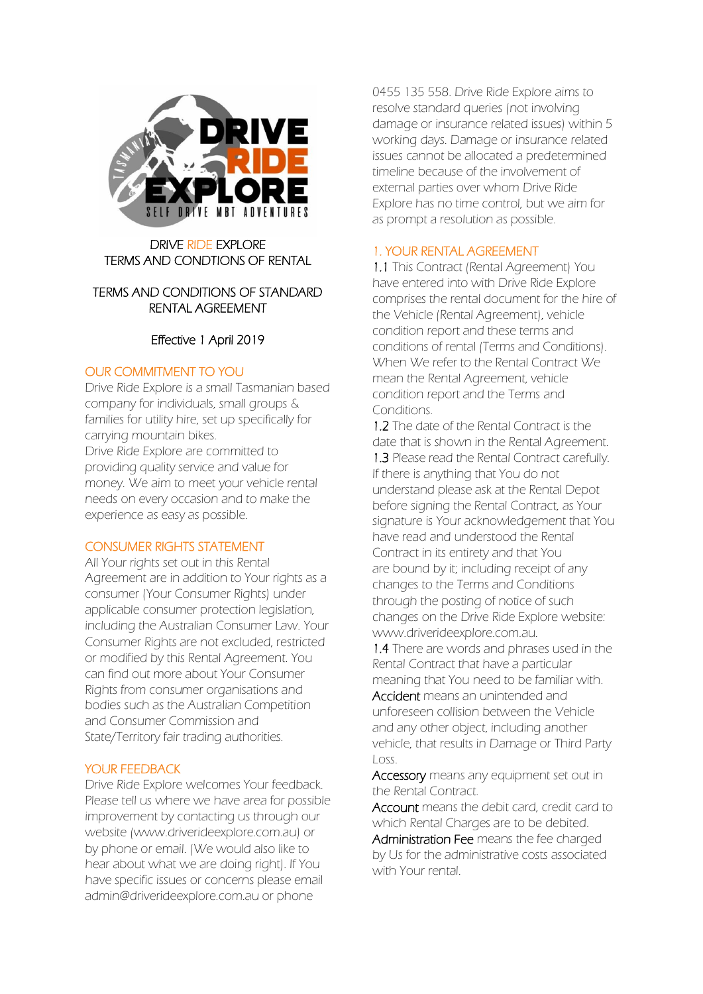

DRIVE RIDE EXPLORE TERMS AND CONDTIONS OF RENTAL

## TERMS AND CONDITIONS OF STANDARD RENTAL AGREEMENT

## Effective 1 April 2019

## OUR COMMITMENT TO YOU

Drive Ride Explore is a small Tasmanian based company for individuals, small groups & families for utility hire, set up specifically for carrying mountain bikes. Drive Ride Explore are committed to providing quality service and value for money. We aim to meet your vehicle rental needs on every occasion and to make the experience as easy as possible.

### CONSUMER RIGHTS STATEMENT

All Your rights set out in this Rental Agreement are in addition to Your rights as a consumer (Your Consumer Rights) under applicable consumer protection legislation, including the Australian Consumer Law. Your Consumer Rights are not excluded, restricted or modified by this Rental Agreement. You can find out more about Your Consumer Rights from consumer organisations and bodies such as the Australian Competition and Consumer Commission and State/Territory fair trading authorities.

### YOUR FEEDBACK

Drive Ride Explore welcomes Your feedback. Please tell us where we have area for possible improvement by contacting us through our website (www.driverideexplore.com.au) or by phone or email. (We would also like to hear about what we are doing right). If You have specific issues or concerns please email admin@driverideexplore.com.au or phone

0455 135 558. Drive Ride Explore aims to resolve standard queries (not involving damage or insurance related issues) within 5 working days. Damage or insurance related issues cannot be allocated a predetermined timeline because of the involvement of external parties over whom Drive Ride Explore has no time control, but we aim for as prompt a resolution as possible.

# 1. YOUR RENTAL AGREEMENT

1.1 This Contract (Rental Agreement) You have entered into with Drive Ride Explore comprises the rental document for the hire of the Vehicle (Rental Agreement), vehicle condition report and these terms and conditions of rental (Terms and Conditions). When We refer to the Rental Contract We mean the Rental Agreement, vehicle condition report and the Terms and Conditions.

1.2 The date of the Rental Contract is the date that is shown in the Rental Agreement. 1.3 Please read the Rental Contract carefully. If there is anything that You do not understand please ask at the Rental Depot before signing the Rental Contract, as Your signature is Your acknowledgement that You have read and understood the Rental Contract in its entirety and that You are bound by it; including receipt of any changes to the Terms and Conditions through the posting of notice of such changes on the Drive Ride Explore website: www.driverideexplore.com.au.

1.4 There are words and phrases used in the Rental Contract that have a particular meaning that You need to be familiar with. Accident means an unintended and unforeseen collision between the Vehicle

and any other object, including another vehicle, that results in Damage or Third Party Loss.

Accessory means any equipment set out in the Rental Contract.

Account means the debit card, credit card to which Rental Charges are to be debited.

Administration Fee means the fee charged by Us for the administrative costs associated with Your rental.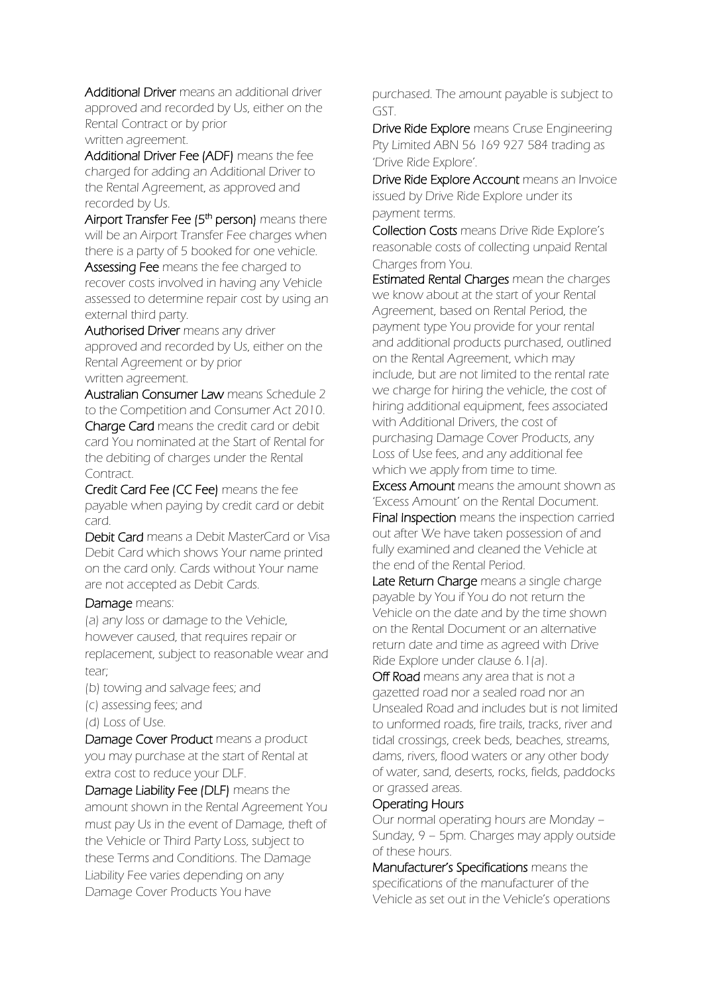Additional Driver means an additional driver approved and recorded by Us, either on the Rental Contract or by prior written agreement.

Additional Driver Fee (ADF) means the fee charged for adding an Additional Driver to the Rental Agreement, as approved and recorded by Us.

Airport Transfer Fee (5<sup>th</sup> person) means there will be an Airport Transfer Fee charges when there is a party of 5 booked for one vehicle. Assessing Fee means the fee charged to

recover costs involved in having any Vehicle assessed to determine repair cost by using an external third party.

Authorised Driver means any driver approved and recorded by Us, either on the Rental Agreement or by prior written agreement.

Australian Consumer Law means Schedule 2 to the Competition and Consumer Act 2010. Charge Card means the credit card or debit card You nominated at the Start of Rental for the debiting of charges under the Rental Contract.

Credit Card Fee (CC Fee) means the fee payable when paying by credit card or debit card.

Debit Card means a Debit MasterCard or Visa Debit Card which shows Your name printed on the card only. Cards without Your name are not accepted as Debit Cards.

### Damage means:

(a) any loss or damage to the Vehicle, however caused, that requires repair or replacement, subject to reasonable wear and tear;

- (b) towing and salvage fees; and
- (c) assessing fees; and
- (d) Loss of Use.

Damage Cover Product means a product you may purchase at the start of Rental at extra cost to reduce your DLF.

Damage Liability Fee (DLF) means the amount shown in the Rental Agreement You must pay Us in the event of Damage, theft of the Vehicle or Third Party Loss, subject to these Terms and Conditions. The Damage Liability Fee varies depending on any Damage Cover Products You have

purchased. The amount payable is subject to GST.

Drive Ride Explore means Cruse Engineering Pty Limited ABN 56 169 927 584 trading as 'Drive Ride Explore'.

Drive Ride Explore Account means an Invoice issued by Drive Ride Explore under its payment terms.

Collection Costs means Drive Ride Explore's reasonable costs of collecting unpaid Rental Charges from You.

Estimated Rental Charges mean the charges we know about at the start of your Rental Agreement, based on Rental Period, the payment type You provide for your rental and additional products purchased, outlined on the Rental Agreement, which may include, but are not limited to the rental rate we charge for hiring the vehicle, the cost of hiring additional equipment, fees associated with Additional Drivers, the cost of purchasing Damage Cover Products, any Loss of Use fees, and any additional fee which we apply from time to time.

Excess Amount means the amount shown as 'Excess Amount' on the Rental Document. Final Inspection means the inspection carried out after We have taken possession of and fully examined and cleaned the Vehicle at the end of the Rental Period.

Late Return Charge means a single charge payable by You if You do not return the Vehicle on the date and by the time shown on the Rental Document or an alternative return date and time as agreed with Drive Ride Explore under clause 6.1(a).

Off Road means any area that is not a gazetted road nor a sealed road nor an Unsealed Road and includes but is not limited to unformed roads, fire trails, tracks, river and tidal crossings, creek beds, beaches, streams, dams, rivers, flood waters or any other body of water, sand, deserts, rocks, fields, paddocks or grassed areas.

### Operating Hours

Our normal operating hours are Monday – Sunday, 9 – 5pm. Charges may apply outside of these hours.

Manufacturer's Specifications means the specifications of the manufacturer of the Vehicle as set out in the Vehicle's operations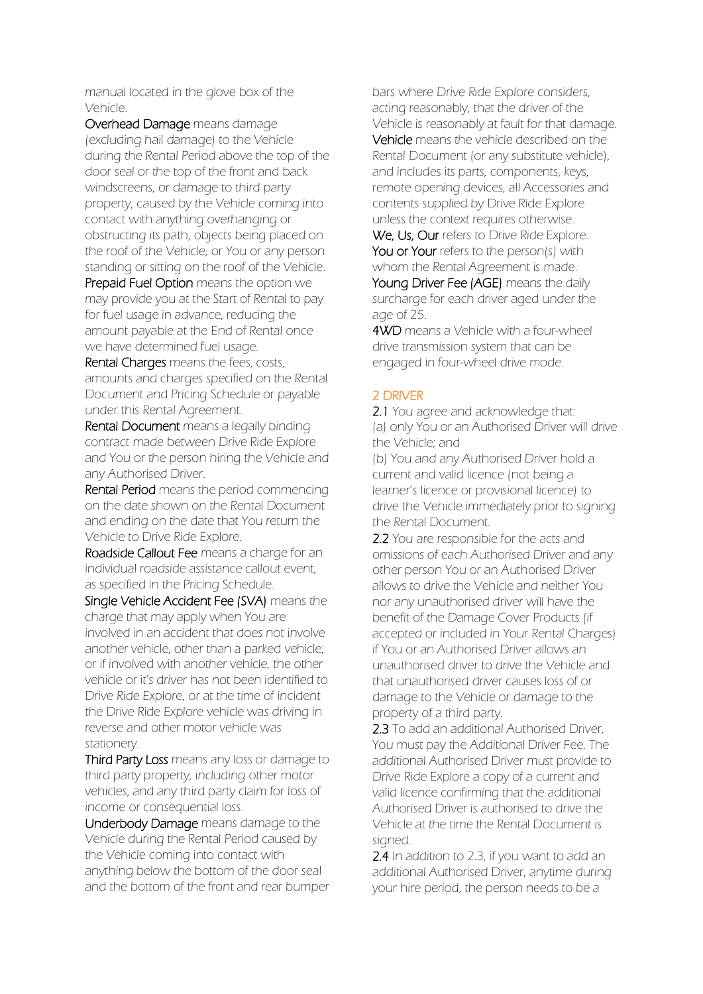manual located in the glove box of the Vehicle.

Overhead Damage means damage (excluding hail damage) to the Vehicle during the Rental Period above the top of the door seal or the top of the front and back windscreens, or damage to third party property, caused by the Vehicle coming into contact with anything overhanging or obstructing its path, objects being placed on the roof of the Vehicle, or You or any person standing or sitting on the roof of the Vehicle.

Prepaid Fuel Option means the option we may provide you at the Start of Rental to pay for fuel usage in advance, reducing the amount payable at the End of Rental once we have determined fuel usage.

Rental Charges means the fees, costs, amounts and charges specified on the Rental Document and Pricing Schedule or payable under this Rental Agreement.

Rental Document means a legally binding contract made between Drive Ride Explore and You or the person hiring the Vehicle and any Authorised Driver.

Rental Period means the period commencing on the date shown on the Rental Document and ending on the date that You return the Vehicle to Drive Ride Explore.

Roadside Callout Fee means a charge for an individual roadside assistance callout event, as specified in the Pricing Schedule.

Single Vehicle Accident Fee (SVA) means the charge that may apply when You are involved in an accident that does not involve another vehicle, other than a parked vehicle; or if involved with another vehicle, the other vehicle or it's driver has not been identified to Drive Ride Explore, or at the time of incident the Drive Ride Explore vehicle was driving in reverse and other motor vehicle was stationery.

Third Party Loss means any loss or damage to third party property, including other motor vehicles, and any third party claim for loss of income or consequential loss.

Underbody Damage means damage to the Vehicle during the Rental Period caused by the Vehicle coming into contact with anything below the bottom of the door seal and the bottom of the front and rear bumper

bars where Drive Ride Explore considers, acting reasonably, that the driver of the Vehicle is reasonably at fault for that damage. Vehicle means the vehicle described on the Rental Document (or any substitute vehicle), and includes its parts, components, keys, remote opening devices, all Accessories and contents supplied by Drive Ride Explore unless the context requires otherwise. We, Us, Our refers to Drive Ride Explore. You or Your refers to the person(s) with

whom the Rental Agreement is made. Young Driver Fee (AGE) means the daily surcharge for each driver aged under the age of 25.

**4WD** means a Vehicle with a four-wheel drive transmission system that can be engaged in four-wheel drive mode.

## 2 DRIVER

2.1 You agree and acknowledge that: (a) only You or an Authorised Driver will drive the Vehicle; and

(b) You and any Authorised Driver hold a current and valid licence (not being a learner's licence or provisional licence) to drive the Vehicle immediately prior to signing the Rental Document.

2.2 You are responsible for the acts and omissions of each Authorised Driver and any other person You or an Authorised Driver allows to drive the Vehicle and neither You nor any unauthorised driver will have the benefit of the Damage Cover Products (if accepted or included in Your Rental Charges) if You or an Authorised Driver allows an unauthorised driver to drive the Vehicle and that unauthorised driver causes loss of or damage to the Vehicle or damage to the property of a third party.

2.3 To add an additional Authorised Driver, You must pay the Additional Driver Fee. The additional Authorised Driver must provide to Drive Ride Explore a copy of a current and valid licence confirming that the additional Authorised Driver is authorised to drive the Vehicle at the time the Rental Document is signed.

2.4 In addition to 2.3, if you want to add an additional Authorised Driver, anytime during your hire period, the person needs to be a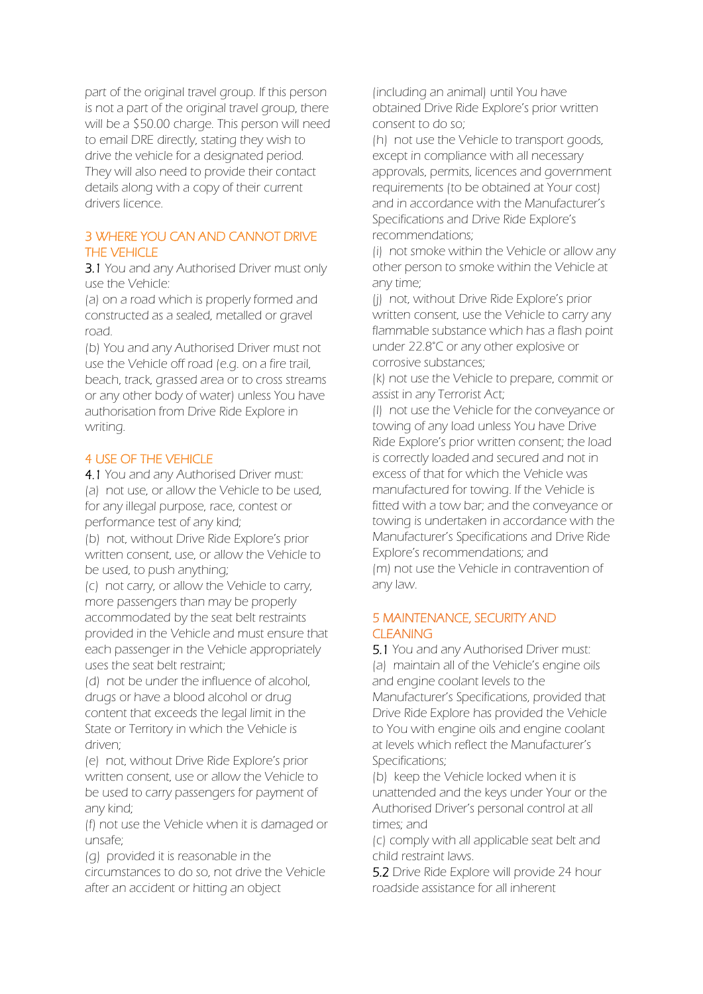part of the original travel group. If this person is not a part of the original travel group, there will be a \$50.00 charge. This person will need to email DRE directly, stating they wish to drive the vehicle for a designated period. They will also need to provide their contact details along with a copy of their current drivers licence.

## 3 WHERE YOU CAN AND CANNOT DRIVE THE VEHICLE

3.1 You and any Authorised Driver must only use the Vehicle:

(a) on a road which is properly formed and constructed as a sealed, metalled or gravel road.

(b) You and any Authorised Driver must not use the Vehicle off road (e.g. on a fire trail, beach, track, grassed area or to cross streams or any other body of water) unless You have authorisation from Drive Ride Explore in writing.

### 4 USE OF THE VEHICLE

4.1 You and any Authorised Driver must: (a) not use, or allow the Vehicle to be used, for any illegal purpose, race, contest or performance test of any kind;

(b) not, without Drive Ride Explore's prior written consent, use, or allow the Vehicle to be used, to push anything;

(c) not carry, or allow the Vehicle to carry, more passengers than may be properly accommodated by the seat belt restraints provided in the Vehicle and must ensure that each passenger in the Vehicle appropriately uses the seat belt restraint;

(d) not be under the influence of alcohol, drugs or have a blood alcohol or drug content that exceeds the legal limit in the State or Territory in which the Vehicle is driven;

(e) not, without Drive Ride Explore's prior written consent, use or allow the Vehicle to be used to carry passengers for payment of any kind;

(f) not use the Vehicle when it is damaged or unsafe;

(g) provided it is reasonable in the circumstances to do so, not drive the Vehicle after an accident or hitting an object

(including an animal) until You have obtained Drive Ride Explore's prior written consent to do so;

(h) not use the Vehicle to transport goods, except in compliance with all necessary approvals, permits, licences and government requirements (to be obtained at Your cost) and in accordance with the Manufacturer's Specifications and Drive Ride Explore's recommendations;

(i) not smoke within the Vehicle or allow any other person to smoke within the Vehicle at any time;

(j) not, without Drive Ride Explore's prior written consent, use the Vehicle to carry any flammable substance which has a flash point under 22.8°C or any other explosive or corrosive substances;

(k) not use the Vehicle to prepare, commit or assist in any Terrorist Act;

(l) not use the Vehicle for the conveyance or towing of any load unless You have Drive Ride Explore's prior written consent; the load is correctly loaded and secured and not in excess of that for which the Vehicle was manufactured for towing. If the Vehicle is fitted with a tow bar; and the conveyance or towing is undertaken in accordance with the Manufacturer's Specifications and Drive Ride Explore's recommendations; and (m) not use the Vehicle in contravention of any law.

#### 5 MAINTENANCE, SECURITY AND **CLEANING**

5.1 You and any Authorised Driver must: (a) maintain all of the Vehicle's engine oils and engine coolant levels to the Manufacturer's Specifications, provided that

Drive Ride Explore has provided the Vehicle to You with engine oils and engine coolant at levels which reflect the Manufacturer's Specifications;

(b) keep the Vehicle locked when it is unattended and the keys under Your or the Authorised Driver's personal control at all times; and

(c) comply with all applicable seat belt and child restraint laws.

5.2 Drive Ride Explore will provide 24 hour roadside assistance for all inherent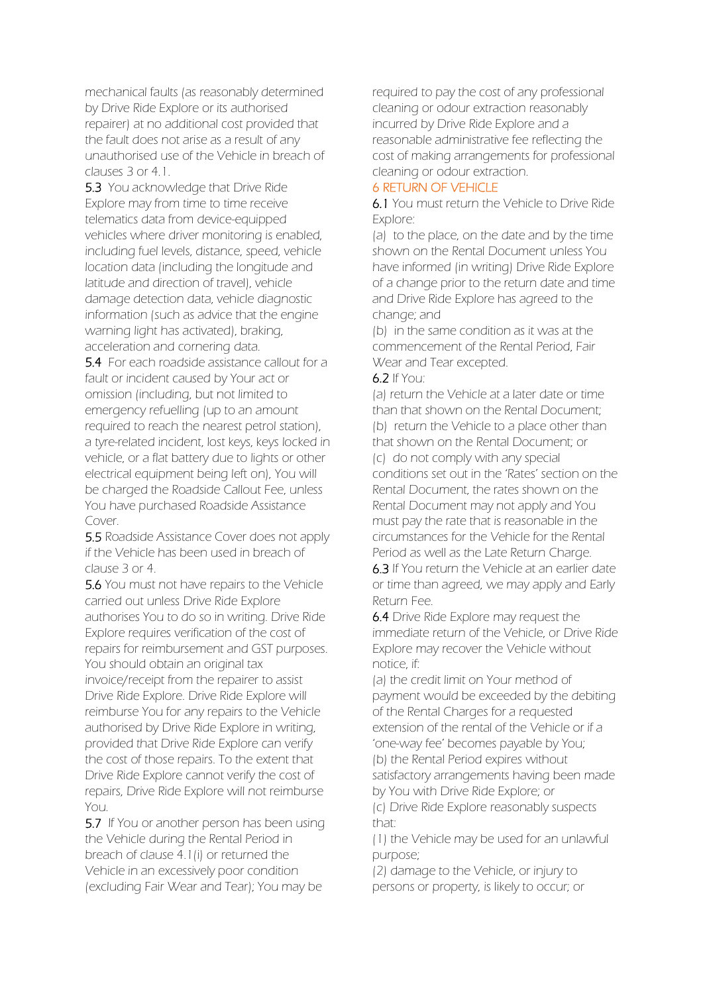mechanical faults (as reasonably determined by Drive Ride Explore or its authorised repairer) at no additional cost provided that the fault does not arise as a result of any unauthorised use of the Vehicle in breach of clauses 3 or 4.1.

5.3 You acknowledge that Drive Ride Explore may from time to time receive telematics data from device-equipped vehicles where driver monitoring is enabled, including fuel levels, distance, speed, vehicle location data (including the longitude and latitude and direction of travel), vehicle damage detection data, vehicle diagnostic information (such as advice that the engine warning light has activated), braking, acceleration and cornering data.

5.4 For each roadside assistance callout for a fault or incident caused by Your act or omission (including, but not limited to emergency refuelling (up to an amount required to reach the nearest petrol station), a tyre-related incident, lost keys, keys locked in vehicle, or a flat battery due to lights or other electrical equipment being left on), You will be charged the Roadside Callout Fee, unless You have purchased Roadside Assistance Cover.

5.5 Roadside Assistance Cover does not apply if the Vehicle has been used in breach of clause 3 or 4.

5.6 You must not have repairs to the Vehicle carried out unless Drive Ride Explore authorises You to do so in writing. Drive Ride Explore requires verification of the cost of repairs for reimbursement and GST purposes. You should obtain an original tax invoice/receipt from the repairer to assist Drive Ride Explore. Drive Ride Explore will reimburse You for any repairs to the Vehicle authorised by Drive Ride Explore in writing, provided that Drive Ride Explore can verify the cost of those repairs. To the extent that Drive Ride Explore cannot verify the cost of repairs, Drive Ride Explore will not reimburse You.

5.7 If You or another person has been using the Vehicle during the Rental Period in breach of clause 4.1(i) or returned the Vehicle in an excessively poor condition (excluding Fair Wear and Tear); You may be

required to pay the cost of any professional cleaning or odour extraction reasonably incurred by Drive Ride Explore and a reasonable administrative fee reflecting the cost of making arrangements for professional cleaning or odour extraction.

## 6 RETURN OF VEHICLE

6.1 You must return the Vehicle to Drive Ride Explore:

(a) to the place, on the date and by the time shown on the Rental Document unless You have informed (in writing) Drive Ride Explore of a change prior to the return date and time and Drive Ride Explore has agreed to the change; and

(b) in the same condition as it was at the commencement of the Rental Period, Fair Wear and Tear excepted.

#### 6.2 If You:

(a) return the Vehicle at a later date or time than that shown on the Rental Document; (b) return the Vehicle to a place other than that shown on the Rental Document; or (c) do not comply with any special conditions set out in the 'Rates' section on the Rental Document, the rates shown on the Rental Document may not apply and You must pay the rate that is reasonable in the circumstances for the Vehicle for the Rental Period as well as the Late Return Charge.

6.3 If You return the Vehicle at an earlier date or time than agreed, we may apply and Early Return Fee.

6.4 Drive Ride Explore may request the immediate return of the Vehicle, or Drive Ride Explore may recover the Vehicle without notice, if:

(a) the credit limit on Your method of payment would be exceeded by the debiting of the Rental Charges for a requested extension of the rental of the Vehicle or if a 'one-way fee' becomes payable by You; (b) the Rental Period expires without satisfactory arrangements having been made by You with Drive Ride Explore; or (c) Drive Ride Explore reasonably suspects that:

(1) the Vehicle may be used for an unlawful purpose;

(2) damage to the Vehicle, or injury to persons or property, is likely to occur; or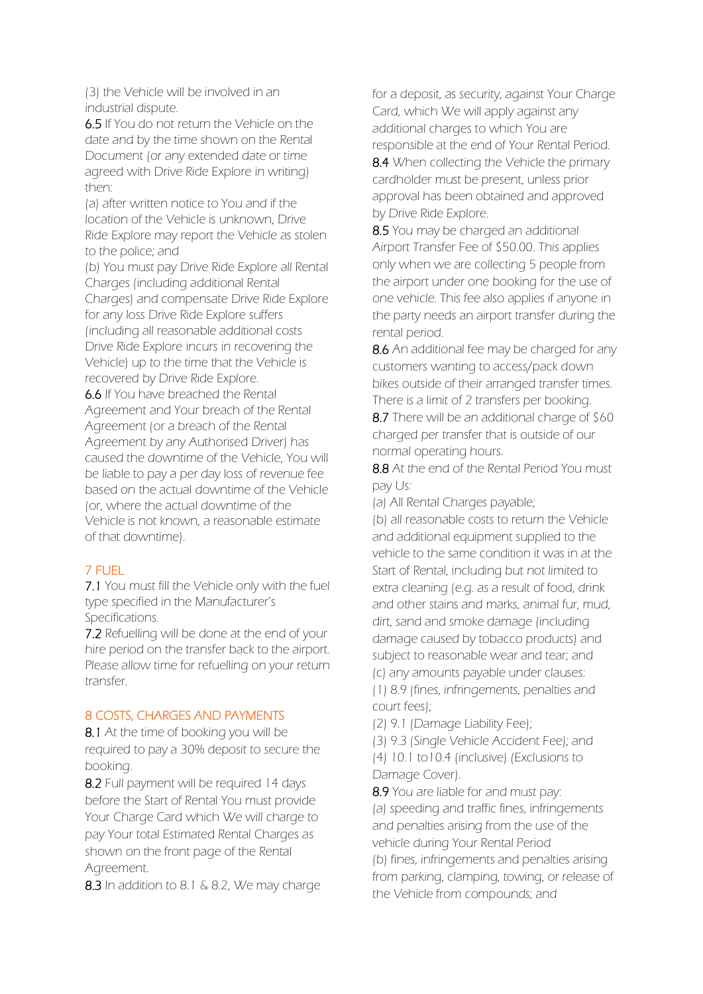(3) the Vehicle will be involved in an industrial dispute.

6.5 If You do not return the Vehicle on the date and by the time shown on the Rental Document (or any extended date or time agreed with Drive Ride Explore in writing) then:

(a) after written notice to You and if the location of the Vehicle is unknown, Drive Ride Explore may report the Vehicle as stolen to the police; and

(b) You must pay Drive Ride Explore all Rental Charges (including additional Rental Charges) and compensate Drive Ride Explore for any loss Drive Ride Explore suffers (including all reasonable additional costs Drive Ride Explore incurs in recovering the Vehicle) up to the time that the Vehicle is recovered by Drive Ride Explore.

6.6 If You have breached the Rental Agreement and Your breach of the Rental Agreement (or a breach of the Rental Agreement by any Authorised Driver) has caused the downtime of the Vehicle, You will be liable to pay a per day loss of revenue fee based on the actual downtime of the Vehicle (or, where the actual downtime of the Vehicle is not known, a reasonable estimate of that downtime).

# 7 FUEL

7.1 You must fill the Vehicle only with the fuel type specified in the Manufacturer's Specifications.

7.2 Refuelling will be done at the end of your hire period on the transfer back to the airport. Please allow time for refuelling on your return transfer.

### 8 COSTS, CHARGES AND PAYMENTS

8.1 At the time of booking you will be required to pay a 30% deposit to secure the booking.

8.2 Full payment will be required 14 days before the Start of Rental You must provide Your Charge Card which We will charge to pay Your total Estimated Rental Charges as shown on the front page of the Rental Agreement.

8.3 In addition to 8.1 & 8.2, We may charge

for a deposit, as security, against Your Charge Card, which We will apply against any additional charges to which You are responsible at the end of Your Rental Period.

8.4 When collecting the Vehicle the primary cardholder must be present, unless prior approval has been obtained and approved by Drive Ride Explore.

8.5 You may be charged an additional Airport Transfer Fee of \$50.00. This applies only when we are collecting 5 people from the airport under one booking for the use of one vehicle. This fee also applies if anyone in the party needs an airport transfer during the rental period.

8.6 An additional fee may be charged for any customers wanting to access/pack down bikes outside of their arranged transfer times. There is a limit of 2 transfers per booking.

8.7 There will be an additional charge of \$60 charged per transfer that is outside of our normal operating hours.

8.8 At the end of the Rental Period You must pay Us:

(a) All Rental Charges payable;

(b) all reasonable costs to return the Vehicle and additional equipment supplied to the vehicle to the same condition it was in at the Start of Rental, including but not limited to extra cleaning (e.g. as a result of food, drink and other stains and marks, animal fur, mud, dirt, sand and smoke damage (including damage caused by tobacco products) and subject to reasonable wear and tear; and (c) any amounts payable under clauses: (1) 8.9 (fines, infringements, penalties and court fees);

(2) 9.1 (Damage Liability Fee);

(3) 9.3 (Single Vehicle Accident Fee); and (4) 10.1 to10.4 (inclusive) (Exclusions to Damage Cover).

8.9 You are liable for and must pay: (a) speeding and traffic fines, infringements and penalties arising from the use of the vehicle during Your Rental Period (b) fines, infringements and penalties arising from parking, clamping, towing, or release of the Vehicle from compounds; and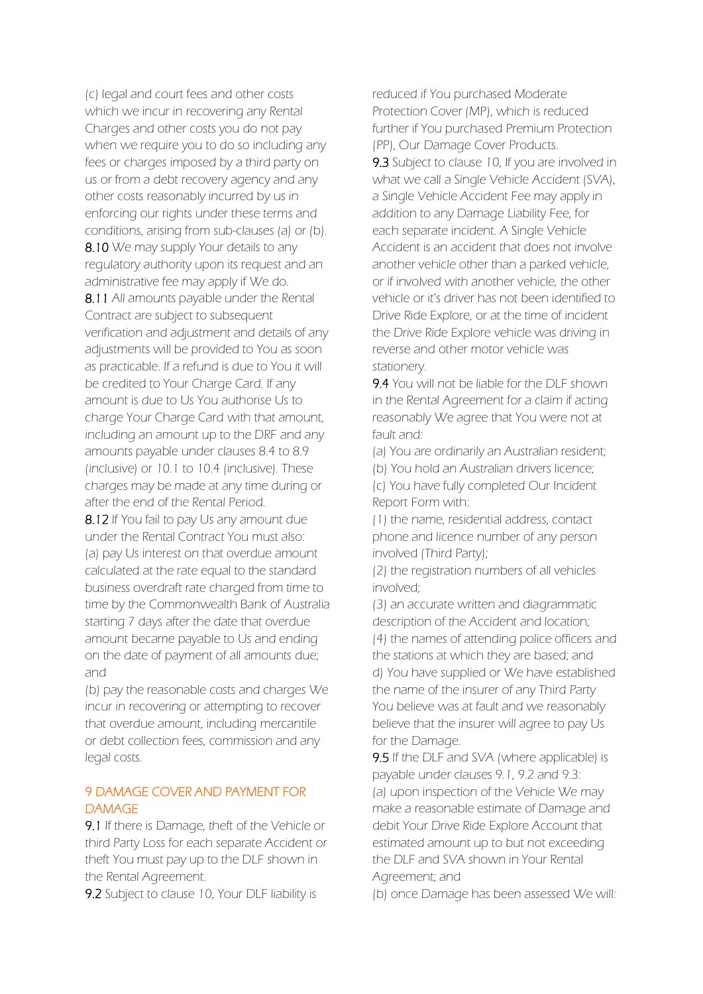(c) legal and court fees and other costs which we incur in recovering any Rental Charges and other costs you do not pay when we require you to do so including any fees or charges imposed by a third party on us or from a debt recovery agency and any other costs reasonably incurred by us in enforcing our rights under these terms and conditions, arising from sub-clauses (a) or (b). 8.10 We may supply Your details to any

regulatory authority upon its request and an administrative fee may apply if We do.

8.11 All amounts payable under the Rental Contract are subject to subsequent verification and adjustment and details of any adjustments will be provided to You as soon as practicable. If a refund is due to You it will be credited to Your Charge Card. If any amount is due to Us You authorise Us to charge Your Charge Card with that amount, including an amount up to the DRF and any amounts payable under clauses 8.4 to 8.9 (inclusive) or 10.1 to 10.4 (inclusive). These charges may be made at any time during or after the end of the Rental Period.

8.12 If You fail to pay Us any amount due under the Rental Contract You must also: (a) pay Us interest on that overdue amount calculated at the rate equal to the standard business overdraft rate charged from time to time by the Commonwealth Bank of Australia starting 7 days after the date that overdue amount became payable to Us and ending on the date of payment of all amounts due; and

(b) pay the reasonable costs and charges We incur in recovering or attempting to recover that overdue amount, including mercantile or debt collection fees, commission and any legal costs.

### 9 DAMAGE COVER AND PAYMENT FOR **DAMAGE**

9.1 If there is Damage, theft of the Vehicle or third Party Loss for each separate Accident or theft You must pay up to the DLF shown in the Rental Agreement.

9.2 Subject to clause 10, Your DLF liability is

reduced if You purchased Moderate Protection Cover (MP), which is reduced further if You purchased Premium Protection (PP), Our Damage Cover Products. 9.3 Subject to clause 10, If you are involved in what we call a Single Vehicle Accident (SVA), a Single Vehicle Accident Fee may apply in addition to any Damage Liability Fee, for each separate incident. A Single Vehicle Accident is an accident that does not involve another vehicle other than a parked vehicle, or if involved with another vehicle, the other vehicle or it's driver has not been identified to Drive Ride Explore, or at the time of incident the Drive Ride Explore vehicle was driving in reverse and other motor vehicle was stationery.

9.4 You will not be liable for the DLF shown in the Rental Agreement for a claim if acting reasonably We agree that You were not at fault and:

(a) You are ordinarily an Australian resident;

(b) You hold an Australian drivers licence;

(c) You have fully completed Our Incident Report Form with:

(1) the name, residential address, contact phone and licence number of any person involved (Third Party);

(2) the registration numbers of all vehicles involved;

(3) an accurate written and diagrammatic description of the Accident and location; (4) the names of attending police officers and the stations at which they are based; and d) You have supplied or We have established the name of the insurer of any Third Party You believe was at fault and we reasonably believe that the insurer will agree to pay Us for the Damage.

9.5 If the DLF and SVA (where applicable) is payable under clauses 9.1, 9.2 and 9.3: (a) upon inspection of the Vehicle We may make a reasonable estimate of Damage and debit Your Drive Ride Explore Account that estimated amount up to but not exceeding the DLF and SVA shown in Your Rental Agreement; and

(b) once Damage has been assessed We will: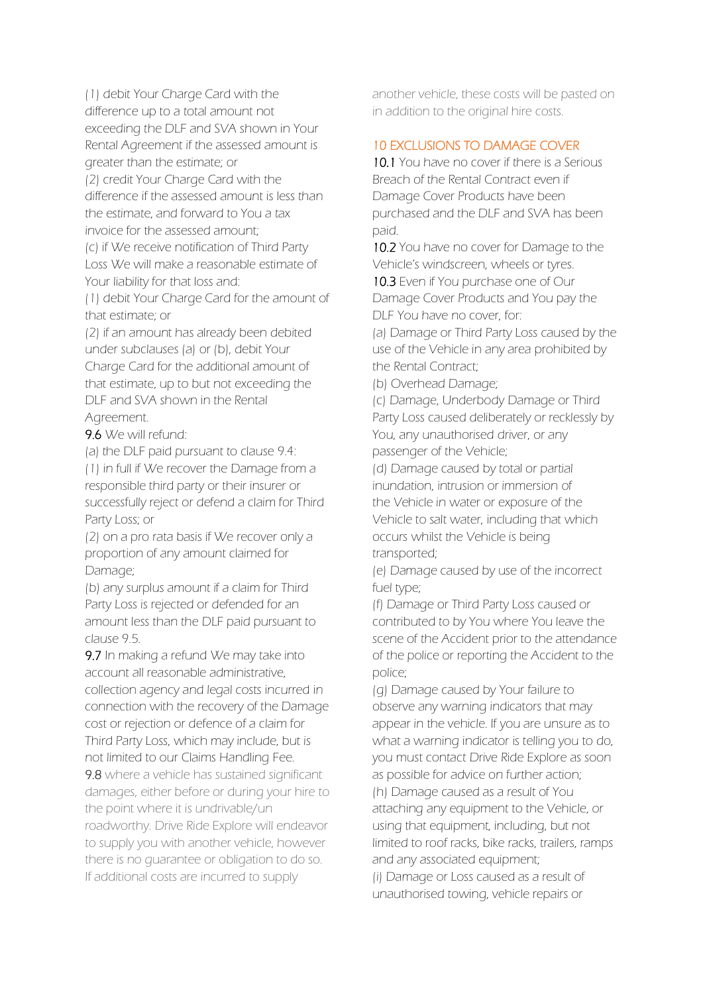(1) debit Your Charge Card with the difference up to a total amount not exceeding the DLF and SVA shown in Your Rental Agreement if the assessed amount is greater than the estimate; or

(2) credit Your Charge Card with the difference if the assessed amount is less than the estimate, and forward to You a tax invoice for the assessed amount;

(c) if We receive notification of Third Party Loss We will make a reasonable estimate of Your liability for that loss and:

(1) debit Your Charge Card for the amount of that estimate; or

(2) if an amount has already been debited under subclauses (a) or (b), debit Your Charge Card for the additional amount of that estimate, up to but not exceeding the DLF and SVA shown in the Rental Agreement.

9.6 We will refund:

(a) the DLF paid pursuant to clause 9.4:

(1) in full if We recover the Damage from a responsible third party or their insurer or successfully reject or defend a claim for Third Party Loss; or

(2) on a pro rata basis if We recover only a proportion of any amount claimed for Damage;

(b) any surplus amount if a claim for Third Party Loss is rejected or defended for an amount less than the DLF paid pursuant to clause 9.5.

9.7 In making a refund We may take into account all reasonable administrative, collection agency and legal costs incurred in connection with the recovery of the Damage cost or rejection or defence of a claim for Third Party Loss, which may include, but is not limited to our Claims Handling Fee.

9.8 where a vehicle has sustained significant damages, either before or during your hire to the point where it is undrivable/un roadworthy. Drive Ride Explore will endeavor

to supply you with another vehicle, however there is no guarantee or obligation to do so. If additional costs are incurred to supply

another vehicle, these costs will be pasted on in addition to the original hire costs.

# 10 EXCLUSIONS TO DAMAGE COVER

10.1 You have no cover if there is a Serious Breach of the Rental Contract even if Damage Cover Products have been purchased and the DLF and SVA has been paid.

10.2 You have no cover for Damage to the Vehicle's windscreen, wheels or tyres.

10.3 Even if You purchase one of Our Damage Cover Products and You pay the DLF You have no cover, for:

(a) Damage or Third Party Loss caused by the use of the Vehicle in any area prohibited by the Rental Contract;

(b) Overhead Damage;

(c) Damage, Underbody Damage or Third Party Loss caused deliberately or recklessly by You, any unauthorised driver, or any passenger of the Vehicle;

(d) Damage caused by total or partial inundation, intrusion or immersion of the Vehicle in water or exposure of the Vehicle to salt water, including that which occurs whilst the Vehicle is being transported;

(e) Damage caused by use of the incorrect fuel type;

(f) Damage or Third Party Loss caused or contributed to by You where You leave the scene of the Accident prior to the attendance of the police or reporting the Accident to the police;

(g) Damage caused by Your failure to observe any warning indicators that may appear in the vehicle. If you are unsure as to what a warning indicator is telling you to do, you must contact Drive Ride Explore as soon as possible for advice on further action; (h) Damage caused as a result of You attaching any equipment to the Vehicle, or using that equipment, including, but not limited to roof racks, bike racks, trailers, ramps and any associated equipment;

(i) Damage or Loss caused as a result of unauthorised towing, vehicle repairs or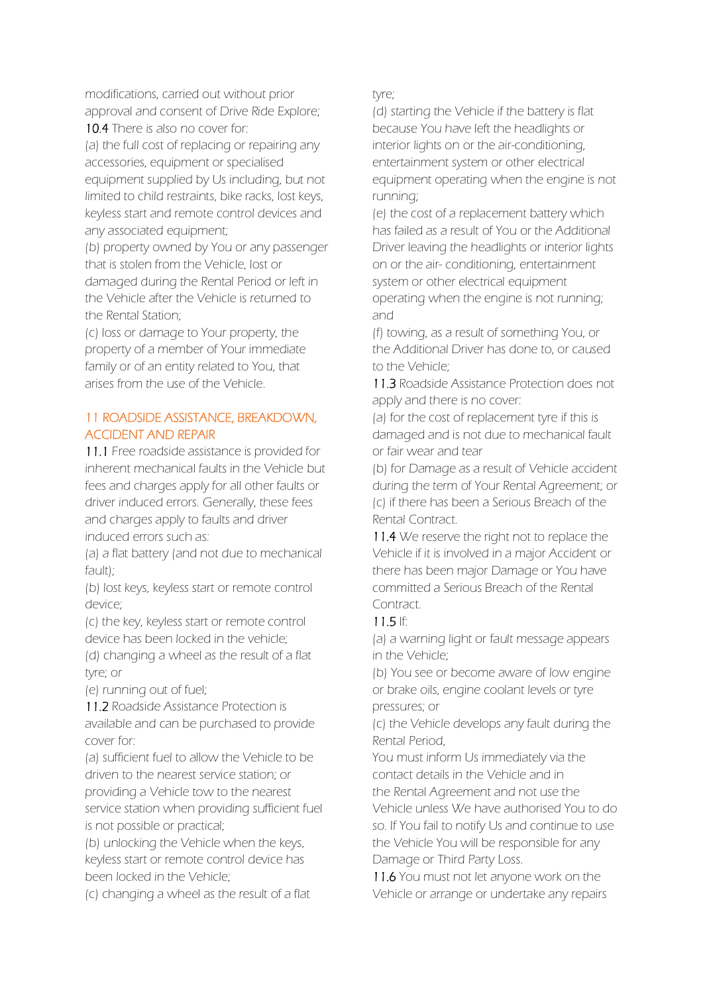modifications, carried out without prior approval and consent of Drive Ride Explore; 10.4 There is also no cover for:

(a) the full cost of replacing or repairing any accessories, equipment or specialised equipment supplied by Us including, but not limited to child restraints, bike racks, lost keys, keyless start and remote control devices and any associated equipment;

(b) property owned by You or any passenger that is stolen from the Vehicle, lost or damaged during the Rental Period or left in the Vehicle after the Vehicle is returned to the Rental Station;

(c) loss or damage to Your property, the property of a member of Your immediate family or of an entity related to You, that arises from the use of the Vehicle.

# 11 ROADSIDE ASSISTANCE, BREAKDOWN, ACCIDENT AND REPAIR

11.1 Free roadside assistance is provided for inherent mechanical faults in the Vehicle but fees and charges apply for all other faults or driver induced errors. Generally, these fees and charges apply to faults and driver induced errors such as:

(a) a flat battery (and not due to mechanical fault);

(b) lost keys, keyless start or remote control device;

(c) the key, keyless start or remote control device has been locked in the vehicle;

(d) changing a wheel as the result of a flat tyre; or

(e) running out of fuel;

11.2 Roadside Assistance Protection is available and can be purchased to provide cover for:

(a) sufficient fuel to allow the Vehicle to be driven to the nearest service station; or providing a Vehicle tow to the nearest service station when providing sufficient fuel is not possible or practical;

(b) unlocking the Vehicle when the keys, keyless start or remote control device has been locked in the Vehicle;

(c) changing a wheel as the result of a flat

tyre;

(d) starting the Vehicle if the battery is flat because You have left the headlights or interior lights on or the air-conditioning, entertainment system or other electrical equipment operating when the engine is not running;

(e) the cost of a replacement battery which has failed as a result of You or the Additional Driver leaving the headlights or interior lights on or the air- conditioning, entertainment system or other electrical equipment operating when the engine is not running; and

(f) towing, as a result of something You, or the Additional Driver has done to, or caused to the Vehicle;

11.3 Roadside Assistance Protection does not apply and there is no cover:

(a) for the cost of replacement tyre if this is damaged and is not due to mechanical fault or fair wear and tear

(b) for Damage as a result of Vehicle accident during the term of Your Rental Agreement; or (c) if there has been a Serious Breach of the Rental Contract.

11.4 We reserve the right not to replace the Vehicle if it is involved in a major Accident or there has been major Damage or You have committed a Serious Breach of the Rental **Contract.** 

# 11.5 If:

(a) a warning light or fault message appears in the Vehicle;

(b) You see or become aware of low engine or brake oils, engine coolant levels or tyre pressures; or

(c) the Vehicle develops any fault during the Rental Period,

You must inform Us immediately via the contact details in the Vehicle and in the Rental Agreement and not use the Vehicle unless We have authorised You to do so. If You fail to notify Us and continue to use the Vehicle You will be responsible for any Damage or Third Party Loss.

11.6 You must not let anyone work on the Vehicle or arrange or undertake any repairs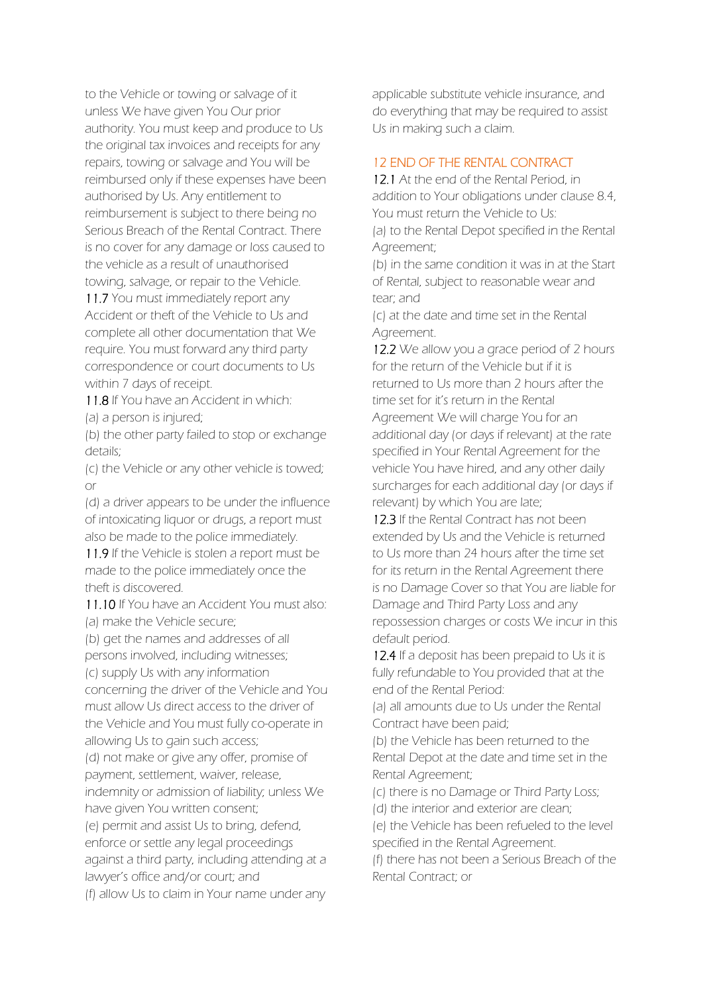to the Vehicle or towing or salvage of it unless We have given You Our prior authority. You must keep and produce to Us the original tax invoices and receipts for any repairs, towing or salvage and You will be reimbursed only if these expenses have been authorised by Us. Any entitlement to reimbursement is subject to there being no Serious Breach of the Rental Contract. There is no cover for any damage or loss caused to the vehicle as a result of unauthorised towing, salvage, or repair to the Vehicle.

11.7 You must immediately report any Accident or theft of the Vehicle to Us and complete all other documentation that We require. You must forward any third party correspondence or court documents to Us within 7 days of receipt.

11.8 If You have an Accident in which: (a) a person is injured;

(b) the other party failed to stop or exchange details;

(c) the Vehicle or any other vehicle is towed; or

(d) a driver appears to be under the influence of intoxicating liquor or drugs, a report must also be made to the police immediately.

11.9 If the Vehicle is stolen a report must be made to the police immediately once the theft is discovered.

11.10 If You have an Accident You must also: (a) make the Vehicle secure;

(b) get the names and addresses of all persons involved, including witnesses;

(c) supply Us with any information concerning the driver of the Vehicle and You must allow Us direct access to the driver of the Vehicle and You must fully co-operate in allowing Us to gain such access;

(d) not make or give any offer, promise of payment, settlement, waiver, release, indemnity or admission of liability; unless We

have given You written consent;

(e) permit and assist Us to bring, defend, enforce or settle any legal proceedings against a third party, including attending at a lawyer's office and/or court; and

(f) allow Us to claim in Your name under any

applicable substitute vehicle insurance, and do everything that may be required to assist Us in making such a claim.

# 12 END OF THE RENTAL CONTRACT

12.1 At the end of the Rental Period, in addition to Your obligations under clause 8.4, You must return the Vehicle to Us: (a) to the Rental Depot specified in the Rental Agreement;

(b) in the same condition it was in at the Start of Rental, subject to reasonable wear and tear; and

(c) at the date and time set in the Rental Agreement.

12.2 We allow you a grace period of 2 hours for the return of the Vehicle but if it is returned to Us more than 2 hours after the time set for it's return in the Rental Agreement We will charge You for an additional day (or days if relevant) at the rate specified in Your Rental Agreement for the vehicle You have hired, and any other daily surcharges for each additional day (or days if relevant) by which You are late;

12.3 If the Rental Contract has not been extended by Us and the Vehicle is returned to Us more than 24 hours after the time set for its return in the Rental Agreement there is no Damage Cover so that You are liable for Damage and Third Party Loss and any repossession charges or costs We incur in this default period.

12.4 If a deposit has been prepaid to Us it is fully refundable to You provided that at the end of the Rental Period:

(a) all amounts due to Us under the Rental Contract have been paid;

(b) the Vehicle has been returned to the Rental Depot at the date and time set in the Rental Agreement;

(c) there is no Damage or Third Party Loss; (d) the interior and exterior are clean;

(e) the Vehicle has been refueled to the level specified in the Rental Agreement.

(f) there has not been a Serious Breach of the Rental Contract; or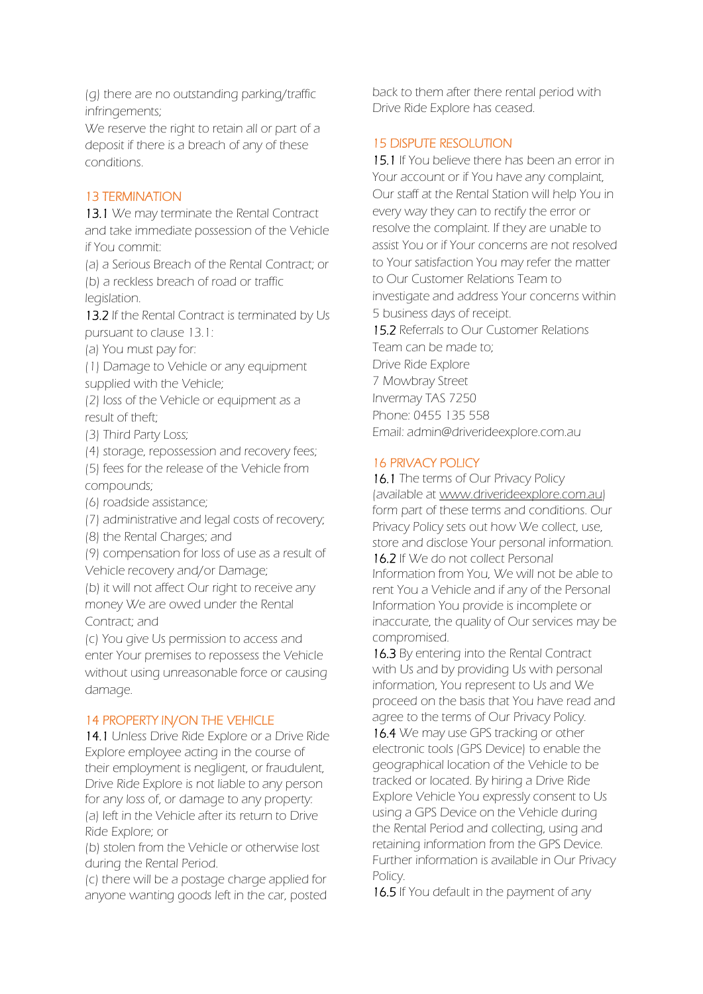(g) there are no outstanding parking/traffic infringements;

We reserve the right to retain all or part of a deposit if there is a breach of any of these conditions.

# 13 TERMINATION

13.1 We may terminate the Rental Contract and take immediate possession of the Vehicle if You commit:

(a) a Serious Breach of the Rental Contract; or (b) a reckless breach of road or traffic legislation.

13.2 If the Rental Contract is terminated by Us pursuant to clause 13.1:

(a) You must pay for:

(1) Damage to Vehicle or any equipment supplied with the Vehicle;

(2) loss of the Vehicle or equipment as a result of theft;

(3) Third Party Loss;

(4) storage, repossession and recovery fees;

(5) fees for the release of the Vehicle from compounds;

(6) roadside assistance;

(7) administrative and legal costs of recovery;

(8) the Rental Charges; and

(9) compensation for loss of use as a result of Vehicle recovery and/or Damage;

(b) it will not affect Our right to receive any money We are owed under the Rental Contract; and

(c) You give Us permission to access and enter Your premises to repossess the Vehicle without using unreasonable force or causing damage.

# 14 PROPERTY IN/ON THE VEHICLE

14.1 Unless Drive Ride Explore or a Drive Ride Explore employee acting in the course of their employment is negligent, or fraudulent, Drive Ride Explore is not liable to any person for any loss of, or damage to any property: (a) left in the Vehicle after its return to Drive Ride Explore; or

(b) stolen from the Vehicle or otherwise lost during the Rental Period.

(c) there will be a postage charge applied for anyone wanting goods left in the car, posted back to them after there rental period with Drive Ride Explore has ceased.

# 15 DISPUTE RESOLUTION

15.1 If You believe there has been an error in Your account or if You have any complaint, Our staff at the Rental Station will help You in every way they can to rectify the error or resolve the complaint. If they are unable to assist You or if Your concerns are not resolved to Your satisfaction You may refer the matter to Our Customer Relations Team to investigate and address Your concerns within 5 business days of receipt. 15.2 Referrals to Our Customer Relations Team can be made to; Drive Ride Explore 7 Mowbray Street Invermay TAS 7250 Phone: 0455 135 558 Email: admin@driverideexplore.com.au

# 16 PRIVACY POLICY

16.1 The terms of Our Privacy Policy (available at [www.driveridee](http://www.driveride/)xplore.com.au) form part of these terms and conditions. Our Privacy Policy sets out how We collect, use, store and disclose Your personal information.

16.2 If We do not collect Personal Information from You, We will not be able to rent You a Vehicle and if any of the Personal Information You provide is incomplete or inaccurate, the quality of Our services may be compromised.

16.3 By entering into the Rental Contract with Us and by providing Us with personal information, You represent to Us and We proceed on the basis that You have read and agree to the terms of Our Privacy Policy.

16.4 We may use GPS tracking or other electronic tools (GPS Device) to enable the geographical location of the Vehicle to be tracked or located. By hiring a Drive Ride Explore Vehicle You expressly consent to Us using a GPS Device on the Vehicle during the Rental Period and collecting, using and retaining information from the GPS Device. Further information is available in Our Privacy Policy.

16.5 If You default in the payment of any